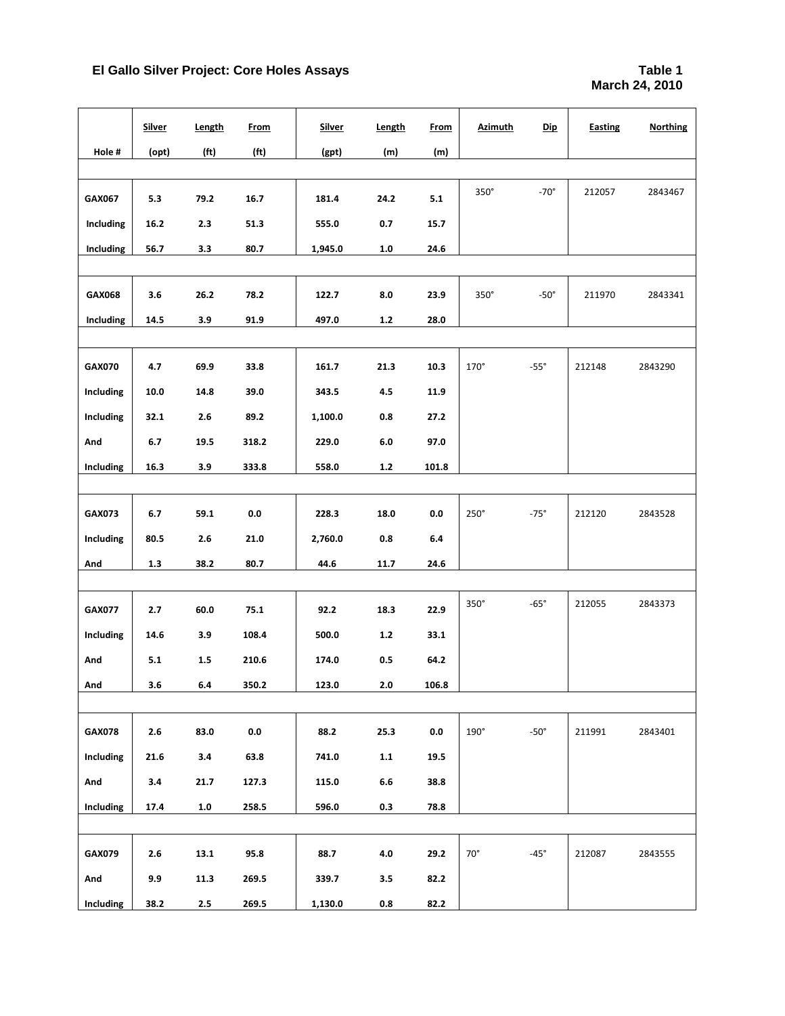|               | <b>Silver</b> | Length            | <b>From</b>       | <b>Silver</b> | Length  | <b>From</b> | <b>Azimuth</b> | <b>Dip</b>  | <b>Easting</b> | <b>Northing</b> |
|---------------|---------------|-------------------|-------------------|---------------|---------|-------------|----------------|-------------|----------------|-----------------|
| Hole#         | (opt)         | (f <sup>t</sup> ) | (f <sub>t</sub> ) | (gpt)         | (m)     | (m)         |                |             |                |                 |
|               |               |                   |                   |               |         |             |                |             |                |                 |
| GAX067        | 5.3           | 79.2              | 16.7              | 181.4         | 24.2    | 5.1         | 350°           | $-70^\circ$ | 212057         | 2843467         |
| Including     | 16.2          | 2.3               | 51.3              | 555.0         | 0.7     | 15.7        |                |             |                |                 |
| Including     | 56.7          | 3.3               | 80.7              | 1,945.0       | 1.0     | 24.6        |                |             |                |                 |
|               |               |                   |                   |               |         |             |                |             |                |                 |
| GAX068        | 3.6           | 26.2              | 78.2              | 122.7         | 8.0     | 23.9        | $350^\circ$    | $-50^\circ$ | 211970         | 2843341         |
| Including     | 14.5          | 3.9               | 91.9              | 497.0         | $1.2\,$ | 28.0        |                |             |                |                 |
|               |               |                   |                   |               |         |             |                |             |                |                 |
| <b>GAX070</b> | 4.7           | 69.9              | 33.8              | 161.7         | 21.3    | 10.3        | $170^\circ$    | $-55^\circ$ | 212148         | 2843290         |
| Including     | 10.0          | 14.8              | 39.0              | 343.5         | 4.5     | 11.9        |                |             |                |                 |
| Including     | 32.1          | 2.6               | 89.2              | 1,100.0       | 0.8     | 27.2        |                |             |                |                 |
| And           | 6.7           | 19.5              | 318.2             | 229.0         | 6.0     | 97.0        |                |             |                |                 |
| Including     | 16.3          | 3.9               | 333.8             | 558.0         | $1.2\,$ | 101.8       |                |             |                |                 |
|               |               |                   |                   |               |         |             |                |             |                |                 |
| <b>GAX073</b> | 6.7           | 59.1              | $0.0\,$           | 228.3         | 18.0    | 0.0         | $250^\circ$    | $-75^\circ$ | 212120         | 2843528         |
| Including     | 80.5          | 2.6               | 21.0              | 2,760.0       | 0.8     | $6.4\,$     |                |             |                |                 |
| And           | 1.3           | 38.2              | 80.7              | 44.6          | 11.7    | 24.6        |                |             |                |                 |
|               |               |                   |                   |               |         |             |                |             |                |                 |
| <b>GAX077</b> | 2.7           | 60.0              | 75.1              | 92.2          | 18.3    | 22.9        | 350°           | $-65^\circ$ | 212055         | 2843373         |
| Including     | 14.6          | 3.9               | 108.4             | 500.0         | $1.2\,$ | 33.1        |                |             |                |                 |
| And           | 5.1           | 1.5               | 210.6             | 174.0         | 0.5     | 64.2        |                |             |                |                 |
| And           | 3.6           | $6.4\,$           | 350.2             | 123.0         | 2.0     | 106.8       |                |             |                |                 |
|               |               |                   |                   |               |         |             |                |             |                |                 |
| <b>GAX078</b> | 2.6           | 83.0              | $0.0\,$           | 88.2          | 25.3    | $0.0\,$     | $190^\circ$    | $-50^\circ$ | 211991         | 2843401         |
| Including     | 21.6          | 3.4               | 63.8              | 741.0         | 1.1     | 19.5        |                |             |                |                 |
| And           | 3.4           | 21.7              | 127.3             | 115.0         | $6.6\,$ | 38.8        |                |             |                |                 |
| Including     | 17.4          | $1.0\,$           | 258.5             | 596.0         | 0.3     | 78.8        |                |             |                |                 |
|               |               |                   |                   |               |         |             |                |             |                |                 |
| GAX079        | 2.6           | 13.1              | 95.8              | 88.7          | 4.0     | 29.2        | $70^{\circ}$   | $-45^\circ$ | 212087         | 2843555         |
| And           | 9.9           | 11.3              | 269.5             | 339.7         | 3.5     | 82.2        |                |             |                |                 |
| Including     | 38.2          | 2.5               | 269.5             | 1,130.0       | 0.8     | 82.2        |                |             |                |                 |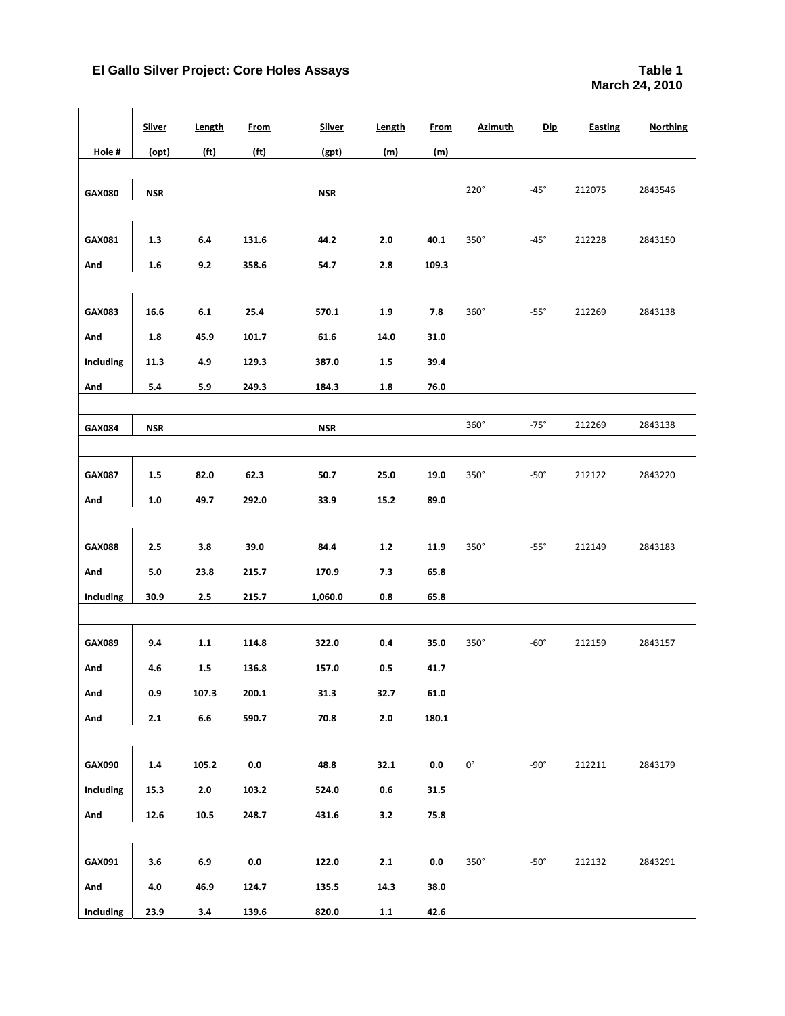|               | <b>Silver</b> | <b>Length</b>     | <b>From</b>       | <b>Silver</b> | Length  | From    | <b>Azimuth</b> | <u>Dip</u>  | Easting | <b>Northing</b> |
|---------------|---------------|-------------------|-------------------|---------------|---------|---------|----------------|-------------|---------|-----------------|
| Hole#         | (opt)         | (f <sub>t</sub> ) | (f <sub>t</sub> ) | (gpt)         | (m)     | (m)     |                |             |         |                 |
|               |               |                   |                   |               |         |         |                |             |         |                 |
| <b>GAX080</b> | <b>NSR</b>    |                   |                   | <b>NSR</b>    |         |         | $220^\circ$    | $-45^\circ$ | 212075  | 2843546         |
|               |               |                   |                   |               |         |         |                |             |         |                 |
| GAX081        | 1.3           | 6.4               | 131.6             | 44.2          | 2.0     | 40.1    | 350°           | $-45^\circ$ | 212228  | 2843150         |
| And           | 1.6           | 9.2               | 358.6             | 54.7          | 2.8     | 109.3   |                |             |         |                 |
|               |               |                   |                   |               |         |         |                |             |         |                 |
| <b>GAX083</b> | 16.6          | 6.1               | 25.4              | 570.1         | 1.9     | 7.8     | $360^\circ$    | $-55^\circ$ | 212269  | 2843138         |
| And           | 1.8           | 45.9              | 101.7             | 61.6          | 14.0    | 31.0    |                |             |         |                 |
| Including     | 11.3          | 4.9               | 129.3             | 387.0         | 1.5     | 39.4    |                |             |         |                 |
| And           | 5.4           | 5.9               | 249.3             | 184.3         | 1.8     | 76.0    |                |             |         |                 |
|               |               |                   |                   |               |         |         |                |             |         |                 |
| GAX084        | <b>NSR</b>    |                   |                   | <b>NSR</b>    |         |         | $360^\circ$    | $-75^\circ$ | 212269  | 2843138         |
|               |               |                   |                   |               |         |         |                |             |         |                 |
| <b>GAX087</b> | 1.5           | 82.0              | 62.3              | 50.7          | 25.0    | 19.0    | $350^\circ$    | $-50^\circ$ | 212122  | 2843220         |
| And           | 1.0           | 49.7              | 292.0             | 33.9          | 15.2    | 89.0    |                |             |         |                 |
|               |               |                   |                   |               |         |         |                |             |         |                 |
| <b>GAX088</b> | 2.5           | 3.8               | 39.0              | 84.4          | $1.2$   | 11.9    | $350^\circ$    | $-55^\circ$ | 212149  | 2843183         |
| And           | 5.0           | 23.8              | 215.7             | 170.9         | 7.3     | 65.8    |                |             |         |                 |
| Including     | 30.9          | 2.5               | 215.7             | 1,060.0       | 0.8     | 65.8    |                |             |         |                 |
|               |               |                   |                   |               |         |         |                |             |         |                 |
| GAX089        | 9.4           | 1.1               | 114.8             | 322.0         | 0.4     | 35.0    | 350°           | $-60^\circ$ | 212159  | 2843157         |
| And           | 4.6           | 1.5               | 136.8             | 157.0         | 0.5     | 41.7    |                |             |         |                 |
| And           | 0.9           | 107.3             | 200.1             | 31.3          | 32.7    | 61.0    |                |             |         |                 |
| And           | 2.1           | $\bf6.6$          | 590.7             | 70.8          | $2.0\,$ | 180.1   |                |             |         |                 |
|               |               |                   |                   |               |         |         |                |             |         |                 |
| GAX090        | 1.4           | 105.2             | $0.0\,$           | 48.8          | 32.1    | 0.0     | $0^{\circ}$    | $-90^\circ$ | 212211  | 2843179         |
| Including     | 15.3          | 2.0               | 103.2             | 524.0         | $0.6\,$ | 31.5    |                |             |         |                 |
| And           | 12.6          | 10.5              | 248.7             | 431.6         | $3.2$   | 75.8    |                |             |         |                 |
|               |               |                   |                   |               |         |         |                |             |         |                 |
| GAX091        | 3.6           | $6.9\,$           | $0.0\,$           | 122.0         | $2.1\,$ | $0.0\,$ | $350^\circ$    | $-50^\circ$ | 212132  | 2843291         |
| And           | 4.0           | 46.9              | 124.7             | 135.5         | 14.3    | 38.0    |                |             |         |                 |
| Including     | 23.9          | 3.4               | 139.6             | 820.0         | $1.1$   | 42.6    |                |             |         |                 |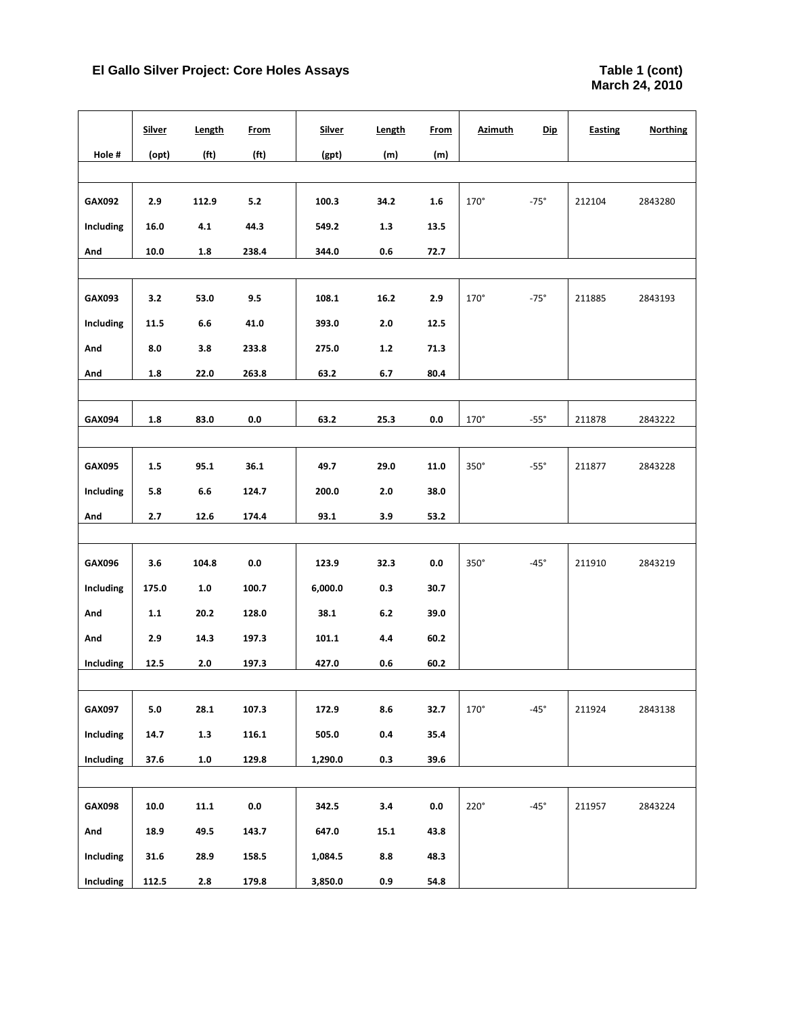|           | <b>Silver</b> | Length            | <b>From</b>       | <b>Silver</b> | Length  | <b>From</b> | <u>Azimuth</u> | <b>Dip</b>  | <b>Easting</b> | <b>Northing</b> |
|-----------|---------------|-------------------|-------------------|---------------|---------|-------------|----------------|-------------|----------------|-----------------|
| Hole #    | (opt)         | (f <sub>t</sub> ) | (f <sub>t</sub> ) | (gpt)         | (m)     | (m)         |                |             |                |                 |
|           |               |                   |                   |               |         |             |                |             |                |                 |
| GAX092    | 2.9           | 112.9             | $5.2$             | 100.3         | 34.2    | $1.6\,$     | 170°           | $-75^\circ$ | 212104         | 2843280         |
| Including | 16.0          | 4.1               | 44.3              | 549.2         | 1.3     | 13.5        |                |             |                |                 |
| And       | $10.0\,$      | $1.8\,$           | 238.4             | 344.0         | 0.6     | 72.7        |                |             |                |                 |
|           |               |                   |                   |               |         |             |                |             |                |                 |
| GAX093    | 3.2           | 53.0              | 9.5               | 108.1         | 16.2    | 2.9         | 170°           | $-75^\circ$ | 211885         | 2843193         |
| Including | 11.5          | 6.6               | 41.0              | 393.0         | $2.0\,$ | 12.5        |                |             |                |                 |
| And       | 8.0           | 3.8               | 233.8             | 275.0         | $1.2\,$ | 71.3        |                |             |                |                 |
| And       | $1.8\,$       | 22.0              | 263.8             | 63.2          | $6.7\,$ | 80.4        |                |             |                |                 |
|           |               |                   |                   |               |         |             |                |             |                |                 |
| GAX094    | 1.8           | 83.0              | 0.0               | 63.2          | 25.3    | 0.0         | $170^\circ$    | $-55^\circ$ | 211878         | 2843222         |
|           |               |                   |                   |               |         |             |                |             |                |                 |
| GAX095    | $1.5\,$       | 95.1              | 36.1              | 49.7          | 29.0    | 11.0        | 350°           | $-55^\circ$ | 211877         | 2843228         |
| Including | 5.8           | 6.6               | 124.7             | 200.0         | $2.0\,$ | 38.0        |                |             |                |                 |
| And       | 2.7           | 12.6              | 174.4             | 93.1          | 3.9     | 53.2        |                |             |                |                 |
|           |               |                   |                   |               |         |             |                |             |                |                 |
| GAX096    | 3.6           | 104.8             | $0.0\,$           | 123.9         | 32.3    | 0.0         | $350^\circ$    | $-45^\circ$ | 211910         | 2843219         |
| Including | 175.0         | $1.0\,$           | 100.7             | 6,000.0       | 0.3     | 30.7        |                |             |                |                 |
| And       | $1.1$         | 20.2              | 128.0             | 38.1          | $6.2\,$ | 39.0        |                |             |                |                 |
| And       | 2.9           | 14.3              | 197.3             | 101.1         | 4.4     | 60.2        |                |             |                |                 |
| Including | 12.5          | 2.0               | 197.3             | 427.0         | 0.6     | 60.2        |                |             |                |                 |
|           |               |                   |                   |               |         |             |                |             |                |                 |
| GAX097    | $5.0\,$       | 28.1              | 107.3             | 172.9         | 8.6     | 32.7        | 170°           | $-45^\circ$ | 211924         | 2843138         |
| Including | 14.7          | $1.3\,$           | 116.1             | 505.0         | 0.4     | 35.4        |                |             |                |                 |
| Including | 37.6          | $1.0\,$           | 129.8             | 1,290.0       | 0.3     | 39.6        |                |             |                |                 |
|           |               |                   |                   |               |         |             |                |             |                |                 |
| GAX098    | 10.0          | 11.1              | $0.0\,$           | 342.5         | 3.4     | $0.0\,$     | $220^\circ$    | $-45^\circ$ | 211957         | 2843224         |
| And       | 18.9          | 49.5              | 143.7             | 647.0         | 15.1    | 43.8        |                |             |                |                 |
| Including | 31.6          | 28.9              | 158.5             | 1,084.5       | 8.8     | 48.3        |                |             |                |                 |
| Including | 112.5         | 2.8               | 179.8             | 3,850.0       | 0.9     | 54.8        |                |             |                |                 |